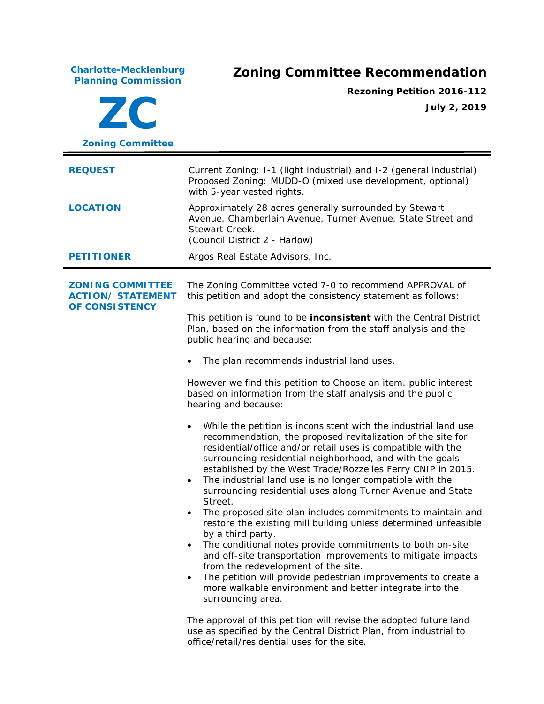**Charlotte-Mecklenburg**

## **Planning Commission Zoning Committee Recommendation**

**ZC Zoning Committee Rezoning Petition 2016-112 July 2, 2019 REQUEST** Current Zoning: I-1 (light industrial) and I-2 (general industrial) Proposed Zoning: MUDD-O (mixed use development, optional) with 5-year vested rights. **LOCATION** Approximately 28 acres generally surrounded by Stewart Avenue, Chamberlain Avenue, Turner Avenue, State Street and Stewart Creek. (Council District 2 - Harlow) **PETITIONER** Argos Real Estate Advisors, Inc. **ZONING COMMITTEE ACTION/ STATEMENT OF CONSISTENCY** The Zoning Committee voted 7-0 to recommend APPROVAL of this petition and adopt the consistency statement as follows: This petition is found to be **inconsistent** with the *Central District Plan,* based on the information from the staff analysis and the public hearing and because: The plan recommends industrial land uses. However we find this petition to Choose an item. public interest based on information from the staff analysis and the public hearing and because: • While the petition is inconsistent with the industrial land use recommendation, the proposed revitalization of the site for residential/office and/or retail uses is compatible with the surrounding residential neighborhood, and with the goals established by the West Trade/Rozzelles Ferry CNIP in 2015. The industrial land use is no longer compatible with the surrounding residential uses along Turner Avenue and State Street. The proposed site plan includes commitments to maintain and restore the existing mill building unless determined unfeasible by a third party. • The conditional notes provide commitments to both on-site and off-site transportation improvements to mitigate impacts from the redevelopment of the site. The petition will provide pedestrian improvements to create a more walkable environment and better integrate into the surrounding area. The approval of this petition will revise the adopted future land use as specified by the *Central District Plan*, from industrial to office/retail/residential uses for the site.